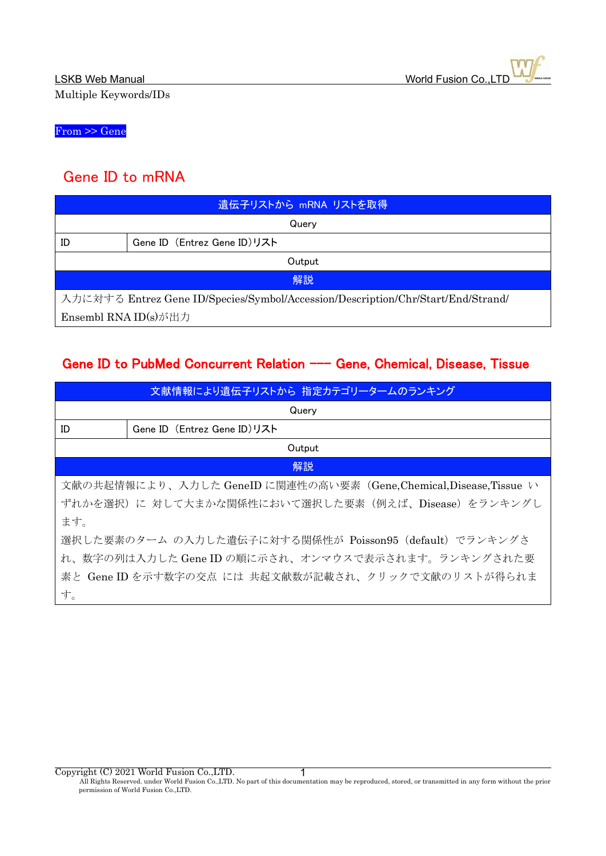From >> Gene

## Gene ID to mRNA

| 遺伝子リストから mRNA リストを取得                                                             |                             |  |
|----------------------------------------------------------------------------------|-----------------------------|--|
| Querv                                                                            |                             |  |
| ID                                                                               | Gene ID (Entrez Gene ID)リスト |  |
| Output                                                                           |                             |  |
| 解説                                                                               |                             |  |
| 入力に対する Entrez Gene ID/Species/Symbol/Accession/Description/Chr/Start/End/Strand/ |                             |  |
| Ensembl RNA ID(s)が出力                                                             |                             |  |

## Gene ID to PubMed Concurrent Relation --- Gene, Chemical, Disease, Tissue

| 文献情報により遺伝子リストから 指定カテゴリータームのランキング                                    |                             |  |
|---------------------------------------------------------------------|-----------------------------|--|
| Query                                                               |                             |  |
| ID                                                                  | Gene ID (Entrez Gene ID)リスト |  |
| Output                                                              |                             |  |
|                                                                     | 解説                          |  |
| 文献の共起情報により、入力した GeneID に関連性の高い要素 (Gene, Chemical, Disease, Tissue い |                             |  |
| ずれかを選択)に 対して大まかな関係性において選択した要素(例えば、Disease)をランキングし                   |                             |  |
| ます。                                                                 |                             |  |
| 選択した要素のターム の入力した遺伝子に対する関係性が Poisson95 (default) でランキングさ             |                             |  |
| れ、数字の列は入力した Gene ID の順に示され、オンマウスで表示されます。ランキングされた要                   |                             |  |
| 素と Gene ID を示す数字の交点 には 共起文献数が記載され、クリックで文献のリストが得られま                  |                             |  |
| す。                                                                  |                             |  |